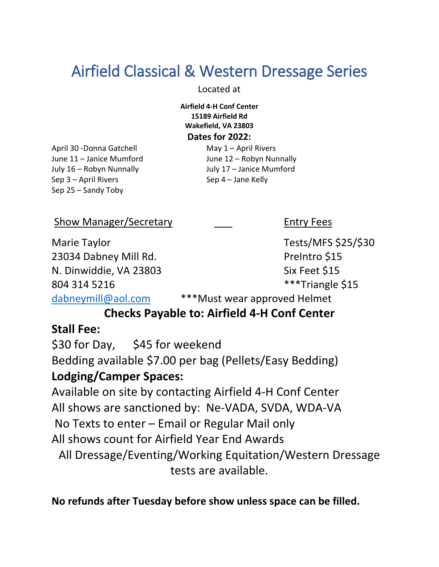# Airfield Classical & Western Dressage Series

Located at

**Airfield 4-H Conf Center 15189 Airfield Rd Wakefield, VA 23803**

**Dates for 2022:** 

April 30 -Donna Gatchell May 1 – April Rivers July 16 – Robyn Nunnally July 17 – Janice Mumford Sep 3 – April Rivers Sep 4 – Jane Kelly Sep 25 – Sandy Toby

June 11 – Janice Mumford June 12 – Robyn Nunnally

Show Manager/Secretary **Entry Fees** 

Marie Taylor Tests/MFS \$25/\$30 23034 Dabney Mill Rd. Prelntro \$15 N. Dinwiddie, VA 23803 Six Feet \$15 804 314 5216 **\*\*\*Triangle** \$15

[dabneymill@aol.com](mailto:dabneymill@aol.com) \*\*\*Must wear approved Helmet

## **Checks Payable to: Airfield 4-H Conf Center**

## **Stall Fee:**

\$30 for Day, \$45 for weekend Bedding available \$7.00 per bag (Pellets/Easy Bedding) **Lodging/Camper Spaces:**

Available on site by contacting Airfield 4-H Conf Center All shows are sanctioned by: Ne-VADA, SVDA, WDA-VA No Texts to enter – Email or Regular Mail only All shows count for Airfield Year End Awards All Dressage/Eventing/Working Equitation/Western Dressage tests are available.

**No refunds after Tuesday before show unless space can be filled.**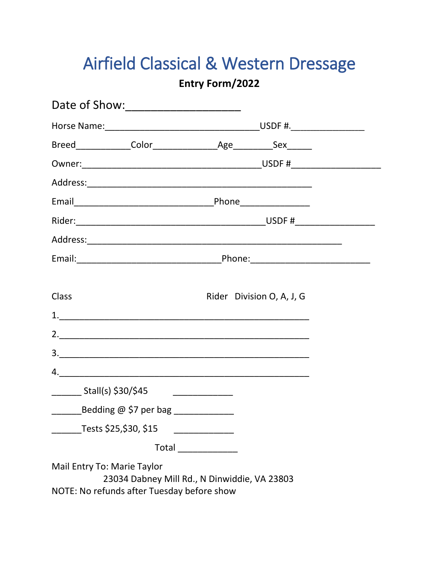# Airfield Classical & Western Dressage

### Entry Form/2022

| <b>Class</b>                                                              | Rider Division O, A, J, G                    |
|---------------------------------------------------------------------------|----------------------------------------------|
| 1.                                                                        |                                              |
|                                                                           |                                              |
|                                                                           |                                              |
| 4.                                                                        |                                              |
| $\frac{1}{2}$ Stall(s) \$30/\$45                                          |                                              |
|                                                                           |                                              |
| Tests \$25,\$30, \$15                                                     |                                              |
|                                                                           |                                              |
| Mail Entry To: Marie Taylor<br>NOTE: No refunds after Tuesday before show | 23034 Dabney Mill Rd., N Dinwiddie, VA 23803 |